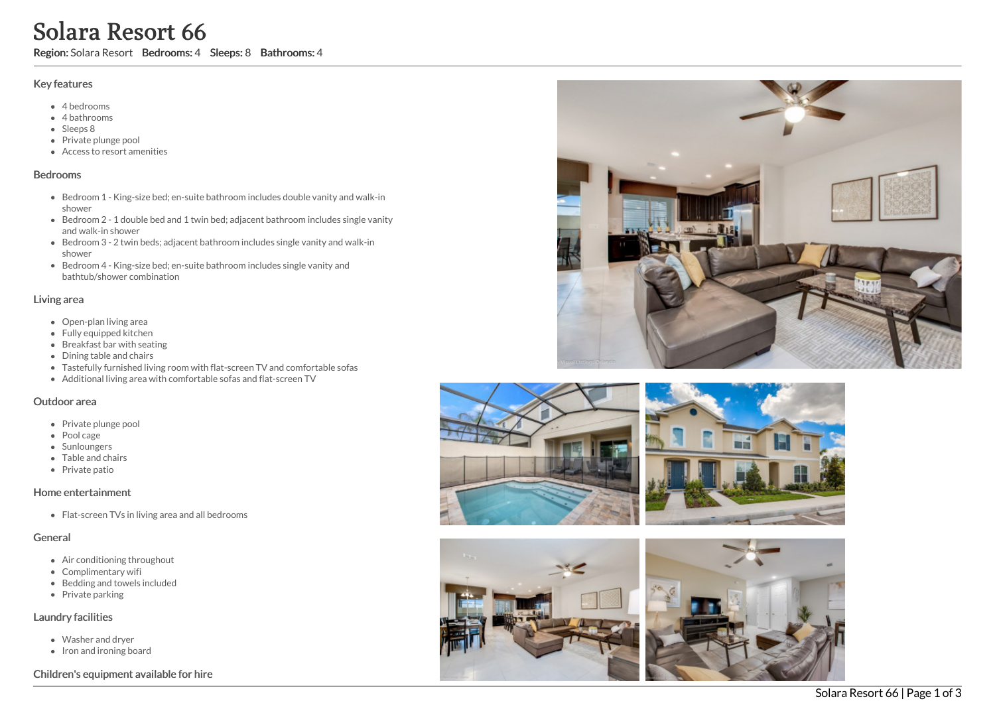# Solara Resort 66

Region: Solara Resort Bedrooms: 4 Sleeps: 8 Bathrooms: 4

#### Key features

- 4 b e d r o o m s
- 4 bathrooms
- Sleeps 8
- Private plunge pool
- Access to resort amenities

#### **Bedrooms**

- Bedroom 1 King-size bed; en-suite bathroom includes double vanity and walk-in s h o w e r
- Bedroom 2 1 double bed and 1 twin bed; adjacent bathroom includes single vanity a n d w alk -in s h o w e r
- Bedroom 3 2 twin beds; adjacent bathroom includes single vanity and walk-in s h o w e r
- Bedroom 4 King-size bed; en-suite bathroom includes single vanity and bathtub/shower combination

#### Living area

- Open-plan living area
- Fully equipped kitchen
- Breakfast bar with seating
- Dining table and chairs
- Tastefully furnished living room with flat-screen TV and comfortable sofas
- Additional living area with comfortable sofas and flat-screen TV

#### Outdoor area

- Private plunge pool
- Pool cage
- Sunloungers
- Table and chairs
- Private patio

## Home entertainment

Flat-screen TVs in living area and all bedrooms

#### General

- Air conditioning throughout
- Complimentary wifi
- Bedding and towels in clu d e d
- Private parking

#### Laundry facilities

- Washer and dryer
- Iron and ironing board

## Children's equipment available for hire







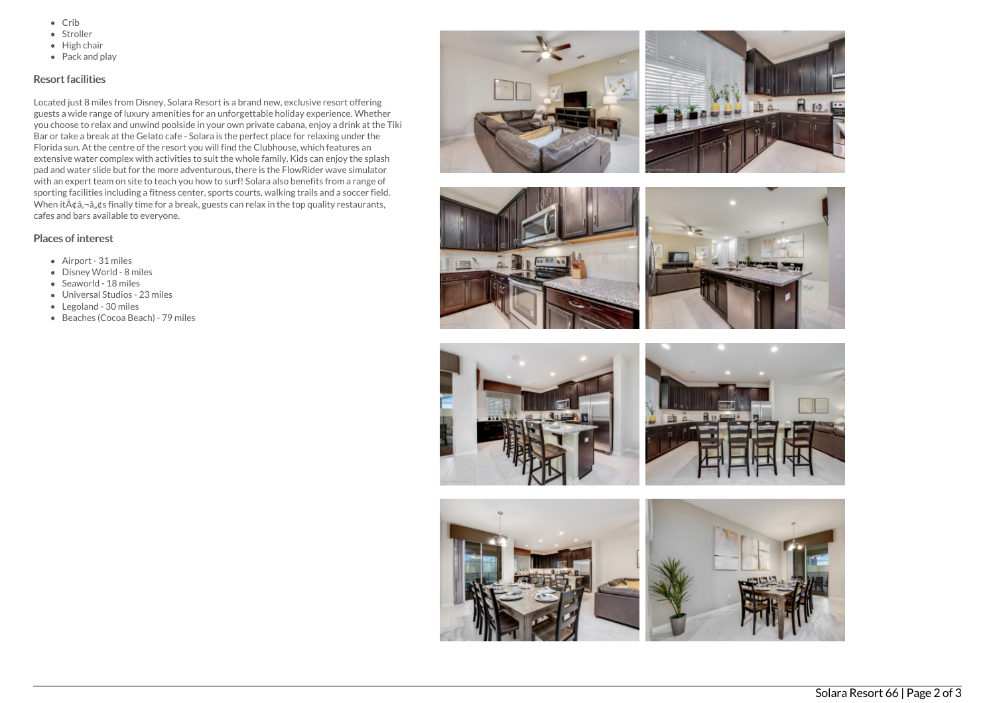- $\bullet$  Crib
- Stroller
- $\bullet$  High chair
- Pack and play

## Resort facilities

Located just 8 miles from Disney, Solara Resort is a brand new, exclusive resort offering guests a wide range of luxury amenities for an unforgettable holiday experience. Whether you choose to relax and unwind poolside in your own private cabana, enjoy a drink at the Tiki Bar or take a break at the Gelato cafe - Solara is the perfect place for relaxing under the Florida sun. At the centre of the resort you will find the Clubhouse, which features an extensive water complex with activities to suit the whole family. Kids can enjoy the splash pad and water slide but for the more adventurous, there is the FlowRider wave simulator with an expert team on site to teach you how to surf! Solara also benefits from a range of sporting facilities including a fitness center, sports courts, walking trails and a soccer field. When it $\tilde{A}$  $\phi$  $\tilde{a}$ , $\phi$ s finally time for a break, guests can relax in the top quality restaurants, cafes and bars available to everyone.

# Places of interest

- Airport 31 miles
- Disney World 8 miles
- Seaworld 18 miles
- Universal Studios 23 miles
- Legoland 30 miles
- Beaches (Cocoa Beach) 79 miles